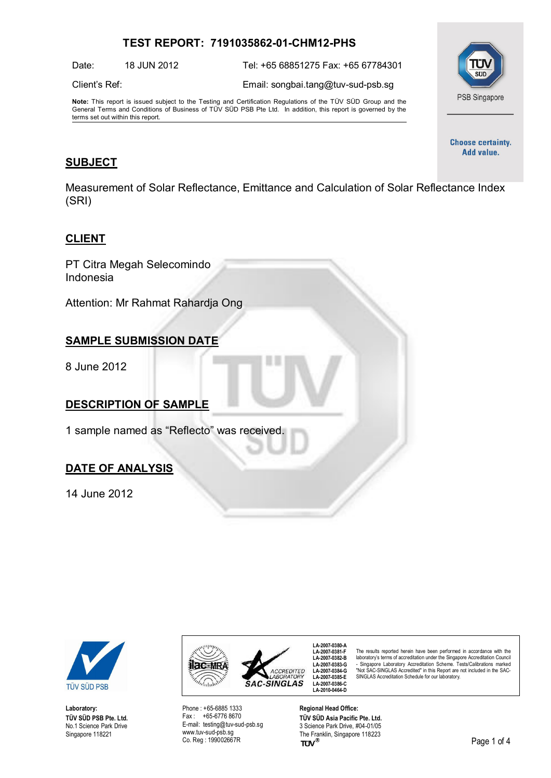# **TEST REPORT: 7191035862-01-CHM12-PHS**

Date: 18 JUN 2012 Tel: +65 68851275 Fax: +65 67784301

Client's Ref: Email: [songbai.tang@tuv-sud-psb.sg](mailto:songbai.tang@tuv-sud-psb.sg)

**Note:** This report is issued subject to the Testing and Certification Regulations of the TÜV SÜD Group and the General Terms and Conditions of Business of TÜV SÜD PSB Pte Ltd. In addition, this report is governed by the terms set out within this report.



**Choose certainty.** Add value.

## **SUBJECT**

Measurement of Solar Reflectance, Emittance and Calculation of Solar Reflectance Index (SRI)

## **CLIENT**

PT Citra Megah Selecomindo Indonesia

Attention: Mr Rahmat Rahardja Ong

# **SAMPLE SUBMISSION DATE**

8 June 2012

## **DESCRIPTION OF SAMPLE**

1 sample named as "Reflecto" was received.

## **DATE OF ANALYSIS**

14 June 2012



**Laboratory: TÜV SÜD PSB Pte. Ltd.** No.1 Science Park Drive Singapore 118221



Phone : +65-6885 1333 Fax : +65-6776 8670 E-mail: [testing@tuv-sud-psb.sg](mailto:testing@tuv-sud-psb.sg) [www.tuv-sud-psb.sg](http://www.tuv-sud-psb.sg/) Co. Reg : 199002667R

**LA-2007-0380-A LA-2007-0381-F LA-2007-0382-B LA-2007-0383-G LA-2007-0384-G LA-2007-0385-E LA-2007-0386-C LA-2010-0464-D**

The results reported herein have been performed in accordance with the laboratory's terms of accreditation under the Singapore Accreditation Council - Singapore Laboratory Accreditation Scheme. Tests/Calibrations marked "Not SAC-SINGLAS Accredited" in this Report are not included in the SAC-SINGLAS Accreditation Schedule for our laboratory.

**Regional Head Office: TÜV SÜD Asia Pacific Pte. Ltd.** 3 Science Park Drive, #04-01/05 The Franklin, Singapore 118223<br>TUV<sup>®</sup>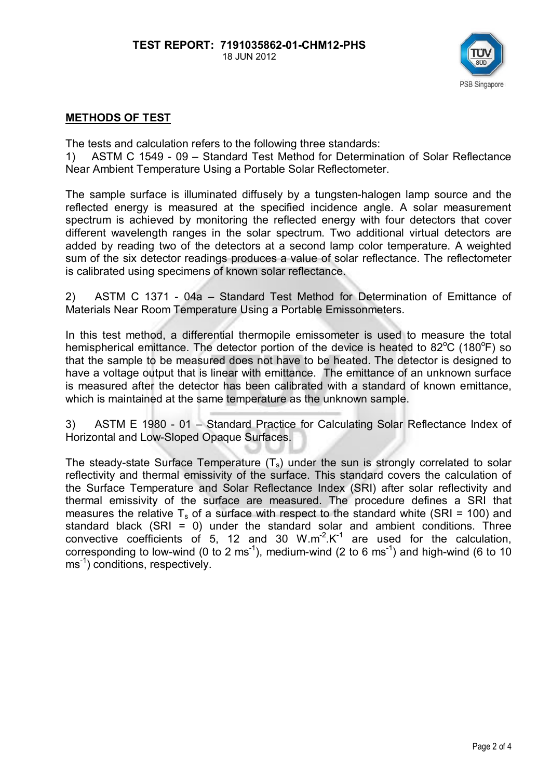

# **METHODS OF TEST**

The tests and calculation refers to the following three standards:

1) ASTM C 1549 - 09 – Standard Test Method for Determination of Solar Reflectance Near Ambient Temperature Using a Portable Solar Reflectometer.

The sample surface is illuminated diffusely by a tungsten-halogen lamp source and the reflected energy is measured at the specified incidence angle. A solar measurement spectrum is achieved by monitoring the reflected energy with four detectors that cover different wavelength ranges in the solar spectrum. Two additional virtual detectors are added by reading two of the detectors at a second lamp color temperature. A weighted sum of the six detector readings produces a value of solar reflectance. The reflectometer is calibrated using specimens of known solar reflectance.

2) ASTM C 1371 - 04a – Standard Test Method for Determination of Emittance of Materials Near Room Temperature Using a Portable Emissonmeters.

In this test method, a differential thermopile emissometer is used to measure the total hemispherical emittance. The detector portion of the device is heated to 82°C (180°F) so that the sample to be measured does not have to be heated. The detector is designed to have a voltage output that is linear with emittance. The emittance of an unknown surface is measured after the detector has been calibrated with a standard of known emittance, which is maintained at the same temperature as the unknown sample.

3) ASTM E 1980 - 01 – Standard Practice for Calculating Solar Reflectance Index of Horizontal and Low-Sloped Opaque Surfaces.

The steady-state Surface Temperature  $(T_s)$  under the sun is strongly correlated to solar reflectivity and thermal emissivity of the surface. This standard covers the calculation of the Surface Temperature and Solar Reflectance Index (SRI) after solar reflectivity and thermal emissivity of the surface are measured. The procedure defines a SRI that measures the relative  $T_s$  of a surface with respect to the standard white (SRI = 100) and standard black (SRI = 0) under the standard solar and ambient conditions. Three convective coefficients of 5, 12 and 30  $W.m^{-2}.K^{-1}$  are used for the calculation, corresponding to low-wind (0 to 2 ms<sup>-1</sup>), medium-wind (2 to 6 ms<sup>-1</sup>) and high-wind (6 to 10 ms<sup>-1</sup>) conditions, respectively.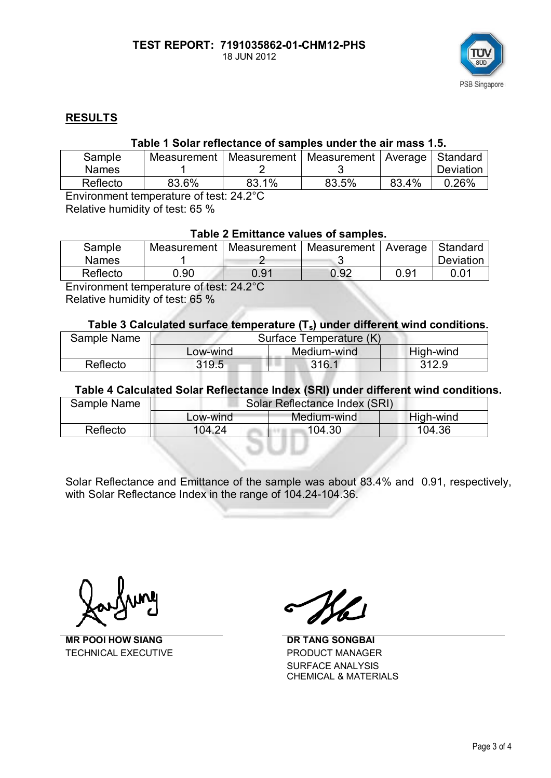

# **RESULTS**

## **Table 1 Solar reflectance of samples under the air mass 1.5.**

| Sample       | Measurement I |       | Measurement   Measurement   Average   Standard |       |           |
|--------------|---------------|-------|------------------------------------------------|-------|-----------|
| <b>Names</b> |               |       |                                                |       | Deviation |
| Reflecto     | 83.6%         | 83.1% | 83.5%                                          | 83.4% | 0.26%     |

Environment temperature of test: 24.2°C

Relative humidity of test: 65 %

# **Table 2 Emittance values of samples.**

| Sample       | Measurement |      | Measurement   Measurement   Average   Standard |      |           |
|--------------|-------------|------|------------------------------------------------|------|-----------|
| <b>Names</b> |             |      |                                                |      | Deviation |
| Reflecto     | $0.90\,$    | 0.91 | 0.92                                           | 0.91 | 0.01      |
|              |             |      |                                                |      |           |

Environment temperature of test: 24.2°C

Relative humidity of test: 65 %

#### **Table 3 Calculated surface temperature (Ts) under different wind conditions.**

| Sample Name | Surface Temperature (K) |             |           |  |
|-------------|-------------------------|-------------|-----------|--|
|             | Low-wind                | Medium-wind | High-wind |  |
| Reflecto    | 319.5                   | 316.1       | 312.9     |  |

#### **Table 4 Calculated Solar Reflectance Index (SRI) under different wind conditions.**

| Sample Name | Solar Reflectance Index (SRI) |             |           |  |
|-------------|-------------------------------|-------------|-----------|--|
|             | Low-wind                      | Medium-wind | High-wind |  |
| Reflecto    | 104.24                        | 104.30      | 104.36    |  |

Solar Reflectance and Emittance of the sample was about 83.4% and 0.91, respectively, with Solar Reflectance Index in the range of 104.24-104.36.

**MR POOI HOW SIANG** DR TANG SONGBAI TECHNICAL EXECUTIVE **EXECUTIVE** PRODUCT MANAGER

SURFACE ANALYSIS CHEMICAL & MATERIALS